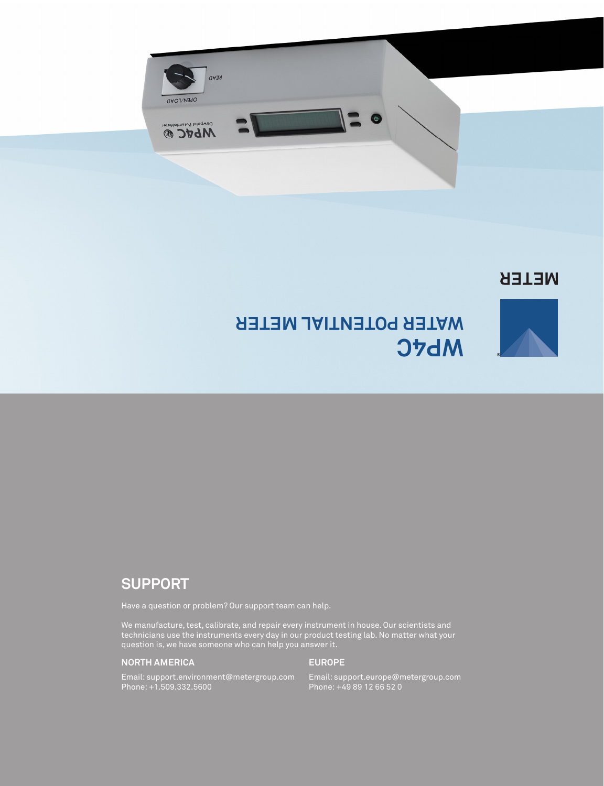

### **NETER**

**®**



## **SUPPORT**

Have a question or problem? Our support team can help.

We manufacture, test, calibrate, and repair every instrument in house. Our scientists and technicians use the instruments every day in our product testing lab. No matter what your question is, we have someone who can help you answer it.

### **NORTH AMERICA**

### **EUROPE**

Email: support.environment@metergroup.com Phone: +1.509.332.5600

Email: support.europe@metergroup.com Phone: +49 89 12 66 52 0